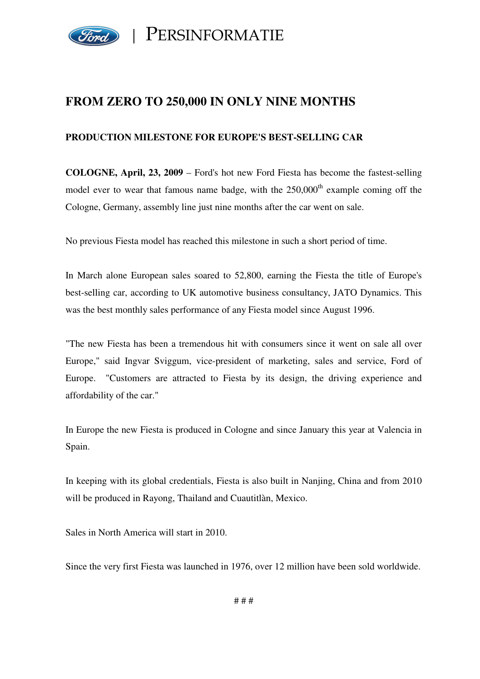

## **FROM ZERO TO 250,000 IN ONLY NINE MONTHS**

## **PRODUCTION MILESTONE FOR EUROPE'S BEST-SELLING CAR**

**COLOGNE, April, 23, 2009** – Ford's hot new Ford Fiesta has become the fastest-selling model ever to wear that famous name badge, with the  $250,000<sup>th</sup>$  example coming off the Cologne, Germany, assembly line just nine months after the car went on sale.

No previous Fiesta model has reached this milestone in such a short period of time.

In March alone European sales soared to 52,800, earning the Fiesta the title of Europe's best-selling car, according to UK automotive business consultancy, JATO Dynamics. This was the best monthly sales performance of any Fiesta model since August 1996.

"The new Fiesta has been a tremendous hit with consumers since it went on sale all over Europe," said Ingvar Sviggum, vice-president of marketing, sales and service, Ford of Europe. "Customers are attracted to Fiesta by its design, the driving experience and affordability of the car."

In Europe the new Fiesta is produced in Cologne and since January this year at Valencia in Spain.

In keeping with its global credentials, Fiesta is also built in Nanjing, China and from 2010 will be produced in Rayong, Thailand and Cuautitlàn, Mexico.

Sales in North America will start in 2010.

Since the very first Fiesta was launched in 1976, over 12 million have been sold worldwide.